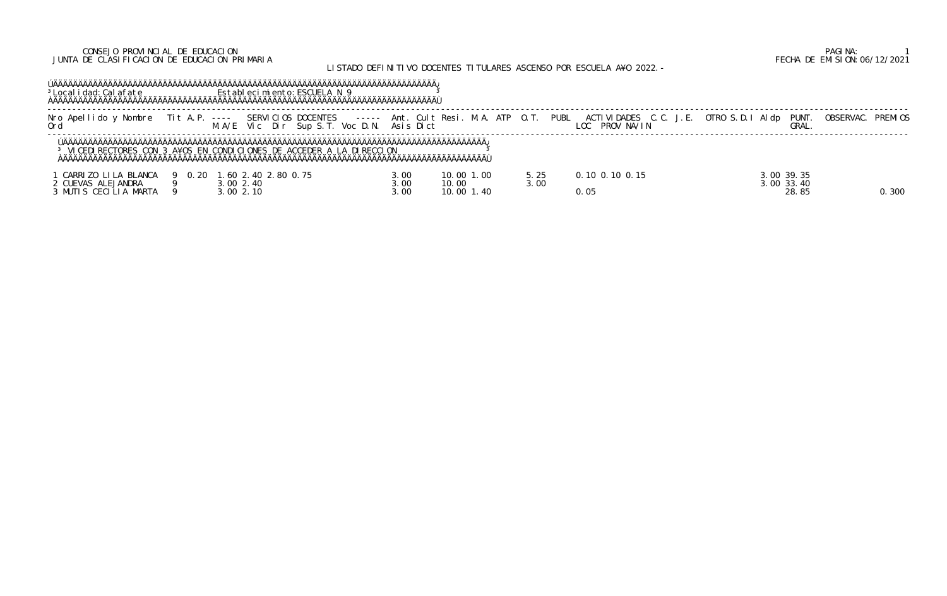## CONSEJO PROVINCIAL DE EDUCACION PAGINA: 1 JUNTA DE CLASIFICACION DE EDUCACION PRIMARIA FECHA DE EMISION:06/12/2021

# LISTADO DEFINITIVO DOCENTES TITULARES ASCENSO POR ESCUELA A¥O 2022.-

# ÚÄÄÄÄÄÄÄÄÄÄÄÄÄÄÄÄÄÄÄÄÄÄÄÄÄÄÄÄÄÄÄÄÄÄÄÄÄÄÄÄÄÄÄÄÄÄÄÄÄÄÄÄÄÄÄÄÄÄÄÄÄÄÄÄÄÄÄÄÄÄÄÄÄÄÄÄÄ¿ <sup>3</sup>Localidad: Calafate Establecimiento: ESCUELA N 9 3 ÀÄÄÄÄÄÄÄÄÄÄÄÄÄÄÄÄÄÄÄÄÄÄÄÄÄÄÄÄÄÄÄÄÄÄÄÄÄÄÄÄÄÄÄÄÄÄÄÄÄÄÄÄÄÄÄÄÄÄÄÄÄÄÄÄÄÄÄÄÄÄÄÄÄÄÄÄÄÙ

| Nro Apellido y Nombre Tit A.P. ---- SERVICIOS DOCENTES   ----- Ant. Cult Resi. M.A. ATP O.T.  |                       | M.A/E Vic Dir Sup S.T. Voc D.N. Asis Dict |       |       |                          |              | PUBL ACTIVIDADES C.C. J.E. OTRO S.D.I AIdp<br>LOC PROV NA/IN |                          | PUNT.<br><b>GRAL</b> | OBSERVAC. | <b>PREMIOS</b> |
|-----------------------------------------------------------------------------------------------|-----------------------|-------------------------------------------|-------|-------|--------------------------|--------------|--------------------------------------------------------------|--------------------------|----------------------|-----------|----------------|
| <sup>3</sup> VICEDIRECTORES CON 3 A¥OS EN CONDICIONES DE ACCEDER A LA DIRECCION               |                       |                                           |       |       |                          |              |                                                              |                          |                      |           |                |
| CARRIZO LILA BLANCA 9 0.20 1.60 2.40 2.80 0.75<br>2 CUEVAS ALEJANDRA<br>3 MUTIS CECILIA MARTA | 3.002.40<br>8.00 2.10 |                                           | ,. 00 | 10.00 | 10.00 1.00<br>10.00 1.40 | 5.25<br>3.00 | 0.10 0.10 0.15<br>0.05                                       | 3.00 39.35<br>3.00 33.40 | 28.85                |           | 0.300          |

|                                             | M.A/E Vic Dir Sup S.T. Voc D.N. Asis Dict                                                                                                                                                            |      |                                   |              | Nro Apellido y Nombre Tit A.P. ---- SERVICIOS DOCENTES ----- Ant. Cult Resi. M.A. ATP O.T. PUBL ACTIVIDADES C.C. J.E. OTRO S.D.I Aldp PUNT. OBSERVAC. PREMIOS<br>LOC PROV NA/IN | <b>GRAL</b>                       |       |
|---------------------------------------------|------------------------------------------------------------------------------------------------------------------------------------------------------------------------------------------------------|------|-----------------------------------|--------------|---------------------------------------------------------------------------------------------------------------------------------------------------------------------------------|-----------------------------------|-------|
|                                             | <sup>3</sup> VICEDI RECTORES CON 3 A¥OS EN CONDICIONES DE ACCEDER A LA DIRECCION<br>لة المستقدم المستقدم المستقدم المستقدم المستقدم المستقدم المستقدم المستقدم المستقدم المستقدم المستقدم المستقدم ا |      |                                   |              |                                                                                                                                                                                 |                                   |       |
| 2 CUEVAS ALEJANDRA<br>3 MUTIS CECILIA MARTA | CARRIZO LILA BLANCA 9 0.20 1.60 2.40 2.80 0.75<br>3.002.40<br>3.002.10                                                                                                                               | 3.00 | 10,00 1,00<br>10.00<br>10.00 1.40 | 5.25<br>3.00 | $0.10$ $0.10$ $0.15$<br>0.05                                                                                                                                                    | 3.00 39.35<br>3.00 33.40<br>28.85 | 0.300 |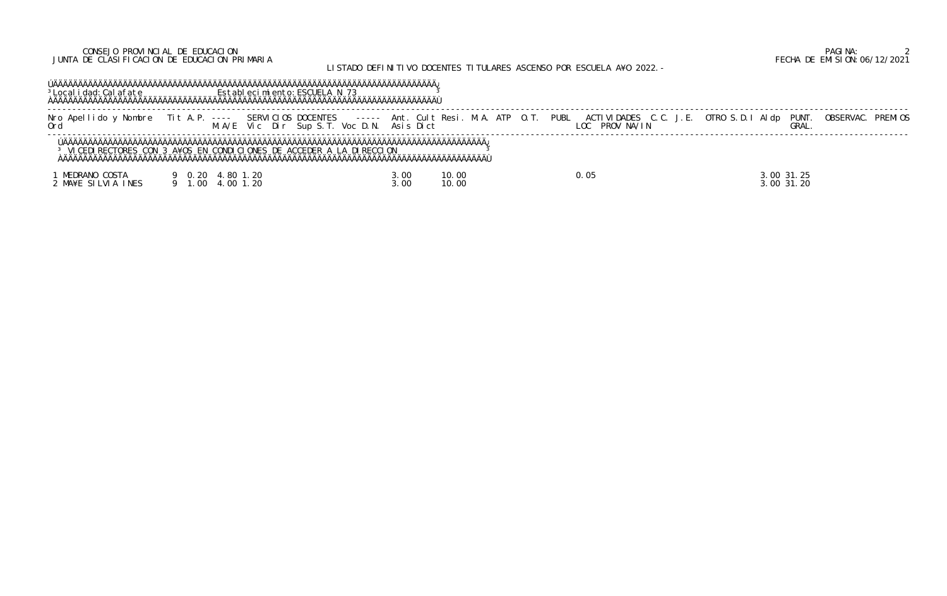## CONSEJO PROVINCIAL DE EDUCACION PAGINA: 2 JUNTA DE CLASIFICACION DE EDUCACION PRIMARIA FECHA DE EMISION:06/12/2021

# LISTADO DEFINITIVO DOCENTES TITULARES ASCENSO POR ESCUELA A¥O 2022.-

 ÚÄÄÄÄÄÄÄÄÄÄÄÄÄÄÄÄÄÄÄÄÄÄÄÄÄÄÄÄÄÄÄÄÄÄÄÄÄÄÄÄÄÄÄÄÄÄÄÄÄÄÄÄÄÄÄÄÄÄÄÄÄÄÄÄÄÄÄÄÄÄÄÄÄÄÄÄÄ¿ <sup>3</sup>Localidad: Calafate Establecimiento: ESCUELA N 73 3 ÀÄÄÄÄÄÄÄÄÄÄÄÄÄÄÄÄÄÄÄÄÄÄÄÄÄÄÄÄÄÄÄÄÄÄÄÄÄÄÄÄÄÄÄÄÄÄÄÄÄÄÄÄÄÄÄÄÄÄÄÄÄÄÄÄÄÄÄÄÄÄÄÄÄÄÄÄÄÙ

 ----------------------------------------------------------------------------------------------------------------------------------------------------------------------------- Nro Apellido y Nombre Tit A.P. ---- SERVICIOS DOCENTES ----- Ant. Cult Resi. M.A. ATP O.T. PUBL ACTIVIDADES C.C. J.E. OTRO S.D.I Aldp PUNT. OBSERVAC. PREMIOS Ord M.A/E Vic Dir Sup S.T. Voc D.N. Asis Dict LOC PROV NA/IN GRAL. -----------------------------------------------------------------------------------------------------------------------------------------------------------------------------

 ÚÄÄÄÄÄÄÄÄÄÄÄÄÄÄÄÄÄÄÄÄÄÄÄÄÄÄÄÄÄÄÄÄÄÄÄÄÄÄÄÄÄÄÄÄÄÄÄÄÄÄÄÄÄÄÄÄÄÄÄÄÄÄÄÄÄÄÄÄÄÄÄÄÄÄÄÄÄÄÄÄÄÄÄÄÄ¿ <sup>3</sup> VICEDIRECTORES CON 3 A¥OS EN CONDICIONES DE ACCEDER A LA DIRECCION <sup>3</sup> ÀÄÄÄÄÄÄÄÄÄÄÄÄÄÄÄÄÄÄÄÄÄÄÄÄÄÄÄÄÄÄÄÄÄÄÄÄÄÄÄÄÄÄÄÄÄÄÄÄÄÄÄÄÄÄÄÄÄÄÄÄÄÄÄÄÄÄÄÄÄÄÄÄÄÄÄÄÄÄÄÄÄÄÄÄÄÙ

| COSTA            | 4.80 1.20             | 3.00          | $\sim$ $\sim$ $\sim$ | 3.00 31.25 |
|------------------|-----------------------|---------------|----------------------|------------|
| MEDRANO          | 0.20                  | 10.00         | U. US                |            |
| MA¥E SILVIA INES | 4.00 1.20<br>$.00 \,$ | 10.00<br>3.00 |                      | 3.00 31.20 |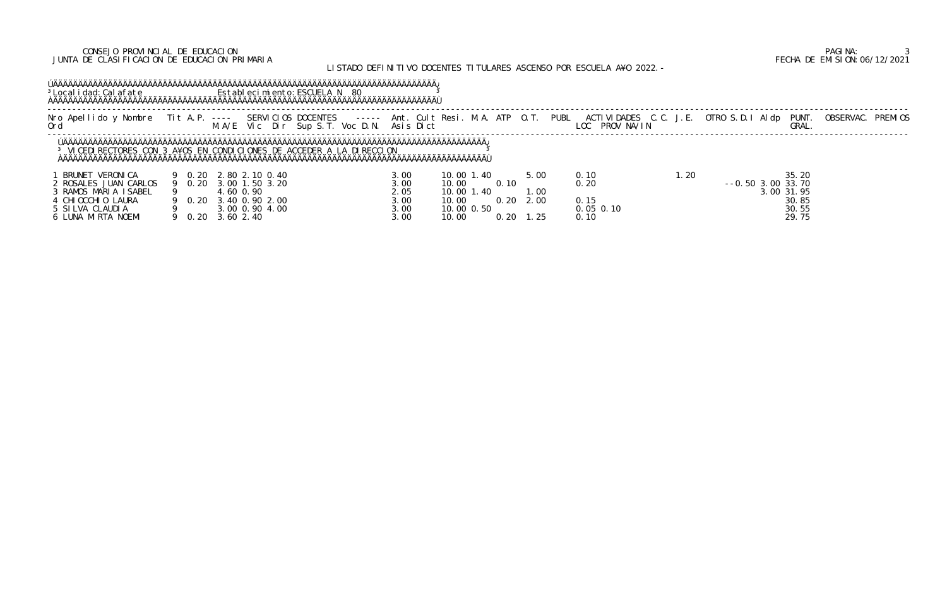## CONSEJO PROVINCIAL DE EDUCACION PAGINA: 3 JUNTA DE CLASIFICACION DE EDUCACION PRIMARIA FECHA DE EMISION:06/12/2021

# LISTADO DEFINITIVO DOCENTES TITULARES ASCENSO POR ESCUELA A¥O 2022.-

 ----------------------------------------------------------------------------------------------------------------------------------------------------------------------------- Nro Apellido y Nombre Tit A.P. ---- SERVICIOS DOCENTES ----- Ant. Cult Resi. M.A. ATP O.T. PUBL ACTIVIDADES C.C. J.E. OTRO S.D.I Aldp PUNT. OBSERVAC. PREMIOS Ord M.A/E Vic Dir Sup S.T. Voc D.N. Asis Dict LOC PROV NA/IN GRAL.

# ÚÄÄÄÄÄÄÄÄÄÄÄÄÄÄÄÄÄÄÄÄÄÄÄÄÄÄÄÄÄÄÄÄÄÄÄÄÄÄÄÄÄÄÄÄÄÄÄÄÄÄÄÄÄÄÄÄÄÄÄÄÄÄÄÄÄÄÄÄÄÄÄÄÄÄÄÄÄ¿ <sup>3</sup>Localidad: Calafate Establecimiento: ESCUELA N 80 <sup>3</sup> ÀÄÄÄÄÄÄÄÄÄÄÄÄÄÄÄÄÄÄÄÄÄÄÄÄÄÄÄÄÄÄÄÄÄÄÄÄÄÄÄÄÄÄÄÄÄÄÄÄÄÄÄÄÄÄÄÄÄÄÄÄÄÄÄÄÄÄÄÄÄÄÄÄÄÄÄÄÄÙ

| Nro Apel<br>ിറ | -----<br>. A/E | SERVICIOS DOCENTES<br>Voc D.<br>Vic Dir Sup S.T | M A<br>ATP<br>Resi<br>Ant<br>Asis Dict | PUBL<br>ACTI VI DADES C<br><b>PROV</b><br>NA/IN | PUNT.<br><b>PREMIOS</b><br>OTRO S.D.<br>AI do<br><b>KAL</b> |
|----------------|----------------|-------------------------------------------------|----------------------------------------|-------------------------------------------------|-------------------------------------------------------------|
|                |                |                                                 |                                        |                                                 |                                                             |

 ÚÄÄÄÄÄÄÄÄÄÄÄÄÄÄÄÄÄÄÄÄÄÄÄÄÄÄÄÄÄÄÄÄÄÄÄÄÄÄÄÄÄÄÄÄÄÄÄÄÄÄÄÄÄÄÄÄÄÄÄÄÄÄÄÄÄÄÄÄÄÄÄÄÄÄÄÄÄÄÄÄÄÄÄÄÄ¿ <sup>3</sup> VICEDIRECTORES CON 3 A¥OS EN CONDICIONES DE ACCEDER A LA DIRECCION <sup>3</sup> ÀÄÄÄÄÄÄÄÄÄÄÄÄÄÄÄÄÄÄÄÄÄÄÄÄÄÄÄÄÄÄÄÄÄÄÄÄÄÄÄÄÄÄÄÄÄÄÄÄÄÄÄÄÄÄÄÄÄÄÄÄÄÄÄÄÄÄÄÄÄÄÄÄÄÄÄÄÄÄÄÄÄÄÄÄÄÙ

| <b>BRUNET</b><br><b>VERONI CA</b> | 2.80 2.10 0.40<br>9 0.20             | 3.00<br>10.00 1<br>. 40 | 5.00         | 0.10          | 35.20              |
|-----------------------------------|--------------------------------------|-------------------------|--------------|---------------|--------------------|
| 2 ROSALES JUAN CARLOS             | 0. 20<br>3.00<br>.503.20<br>$\Omega$ | 3.00<br>10.00           | 0.10         | 0.20          | $-0.50$ 3.00 33.70 |
| RAMOS MARIA ISABEL                | 600.90                               | 2.05<br>10.001<br>-40   | .00          |               | 31.95<br>3.00      |
| CHI OCCHI O LAURA                 | 9 0.20<br>3.40 0.90 2.00             | 3.00<br>10.00           | 2.00<br>0.20 |               | 30.85              |
| 5 SILVA CLAUDIA                   | 00 0.90 4.00                         | 3.00<br>10.00 0.50      |              | $0.05$ $0.10$ | 30.55              |
| LUNA MIRTA NOEMI                  | $9 \t 0.20$<br>602.40                | 3.00<br>10.00           | 1.25<br>0.20 | 0.10          | 29.75              |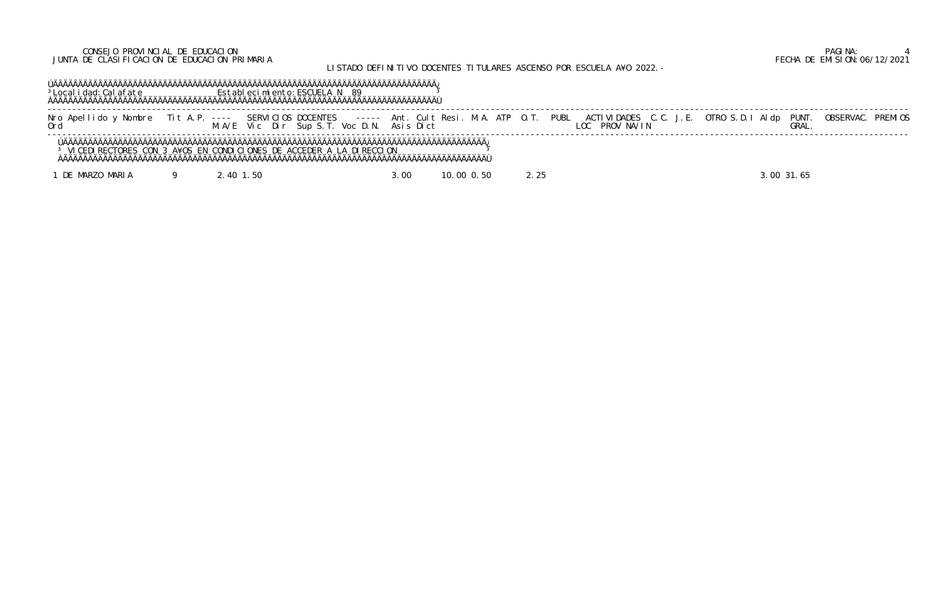# CONSEJO PROVINCIAL DE EDUCACION PAGINA: 4 JUNTA DE CLASIFICACION DE EDUCACION PRIMARIA FECHA DE EMISION:06/12/2021

# LISTADO DEFINITIVO DOCENTES TITULARES ASCENSO POR ESCUELA A¥O 2022.-

 ÚÄÄÄÄÄÄÄÄÄÄÄÄÄÄÄÄÄÄÄÄÄÄÄÄÄÄÄÄÄÄÄÄÄÄÄÄÄÄÄÄÄÄÄÄÄÄÄÄÄÄÄÄÄÄÄÄÄÄÄÄÄÄÄÄÄÄÄÄÄÄÄÄÄÄÄÄÄ¿ <sup>3</sup>Localidad: Calafate Establecimiento: ESCUELA N 89 3 ÀÄÄÄÄÄÄÄÄÄÄÄÄÄÄÄÄÄÄÄÄÄÄÄÄÄÄÄÄÄÄÄÄÄÄÄÄÄÄÄÄÄÄÄÄÄÄÄÄÄÄÄÄÄÄÄÄÄÄÄÄÄÄÄÄÄÄÄÄÄÄÄÄÄÄÄÄÄÙ

 ----------------------------------------------------------------------------------------------------------------------------------------------------------------------------- Nro Apellido y Nombre Tit A.P. ---- SERVICIOS DOCENTES ----- Ant. Cult Resi. M.A. ATP O.T. PUBL ACTIVIDADES C.C. J.E. OTRO S.D.I Aldp PUNT. OBSERVAC. PREMIOS Ord M.A/E Vic Dir Sup S.T. Voc D.N. Asis Dict LOC PROV NA/IN GRAL. -----------------------------------------------------------------------------------------------------------------------------------------------------------------------------

 ÚÄÄÄÄÄÄÄÄÄÄÄÄÄÄÄÄÄÄÄÄÄÄÄÄÄÄÄÄÄÄÄÄÄÄÄÄÄÄÄÄÄÄÄÄÄÄÄÄÄÄÄÄÄÄÄÄÄÄÄÄÄÄÄÄÄÄÄÄÄÄÄÄÄÄÄÄÄÄÄÄÄÄÄÄÄ¿ <sup>3</sup> VICEDIRECTORES CON 3 A¥OS EN CONDICIONES DE ACCEDER A LA DIRECCION <sup>3</sup> ÀÄÄÄÄÄÄÄÄÄÄÄÄÄÄÄÄÄÄÄÄÄÄÄÄÄÄÄÄÄÄÄÄÄÄÄÄÄÄÄÄÄÄÄÄÄÄÄÄÄÄÄÄÄÄÄÄÄÄÄÄÄÄÄÄÄÄÄÄÄÄÄÄÄÄÄÄÄÄÄÄÄÄÄÄÄÙ

1 DE MARZO MARIA 9 2.40 1.50 3.00 10.00 0.50 2.25 3.00 31.65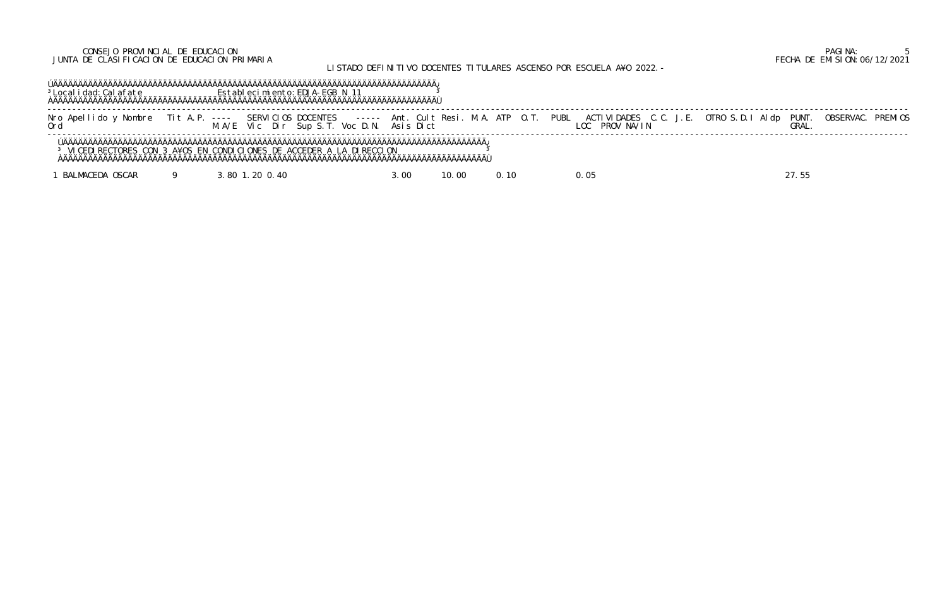# CONSEJO PROVINCIAL DE EDUCACION PAGINA: 5 JUNTA DE CLASIFICACION DE EDUCACION PRIMARIA FECHA DE EMISION:06/12/2021

# LISTADO DEFINITIVO DOCENTES TITULARES ASCENSO POR ESCUELA A¥O 2022.-

 ÚÄÄÄÄÄÄÄÄÄÄÄÄÄÄÄÄÄÄÄÄÄÄÄÄÄÄÄÄÄÄÄÄÄÄÄÄÄÄÄÄÄÄÄÄÄÄÄÄÄÄÄÄÄÄÄÄÄÄÄÄÄÄÄÄÄÄÄÄÄÄÄÄÄÄÄÄÄ¿ <sup>3</sup>Localidad: Calafate Establecimiento: EDJA-EGB N 11 <sup>3</sup> ÀÄÄÄÄÄÄÄÄÄÄÄÄÄÄÄÄÄÄÄÄÄÄÄÄÄÄÄÄÄÄÄÄÄÄÄÄÄÄÄÄÄÄÄÄÄÄÄÄÄÄÄÄÄÄÄÄÄÄÄÄÄÄÄÄÄÄÄÄÄÄÄÄÄÄÄÄÄÙ

 ----------------------------------------------------------------------------------------------------------------------------------------------------------------------------- Nro Apellido y Nombre Tit A.P. ---- SERVICIOS DOCENTES ----- Ant. Cult Resi. M.A. ATP O.T. PUBL ACTIVIDADES C.C. J.E. OTRO S.D.I Aldp PUNT. OBSERVAC. PREMIOS Ord M.A/E Vic Dir Sup S.T. Voc D.N. Asis Dict LOC PROV NA/IN GRAL. -----------------------------------------------------------------------------------------------------------------------------------------------------------------------------

 ÚÄÄÄÄÄÄÄÄÄÄÄÄÄÄÄÄÄÄÄÄÄÄÄÄÄÄÄÄÄÄÄÄÄÄÄÄÄÄÄÄÄÄÄÄÄÄÄÄÄÄÄÄÄÄÄÄÄÄÄÄÄÄÄÄÄÄÄÄÄÄÄÄÄÄÄÄÄÄÄÄÄÄÄÄÄ¿ <sup>3</sup> VICEDIRECTORES CON 3 A¥OS EN CONDICIONES DE ACCEDER A LA DIRECCION <sup>3</sup> ÀÄÄÄÄÄÄÄÄÄÄÄÄÄÄÄÄÄÄÄÄÄÄÄÄÄÄÄÄÄÄÄÄÄÄÄÄÄÄÄÄÄÄÄÄÄÄÄÄÄÄÄÄÄÄÄÄÄÄÄÄÄÄÄÄÄÄÄÄÄÄÄÄÄÄÄÄÄÄÄÄÄÄÄÄÄÙ

1 BALMACEDA OSCAR 9 3.80 1.20 0.40 3.00 10.00 0.10 0.05 27.55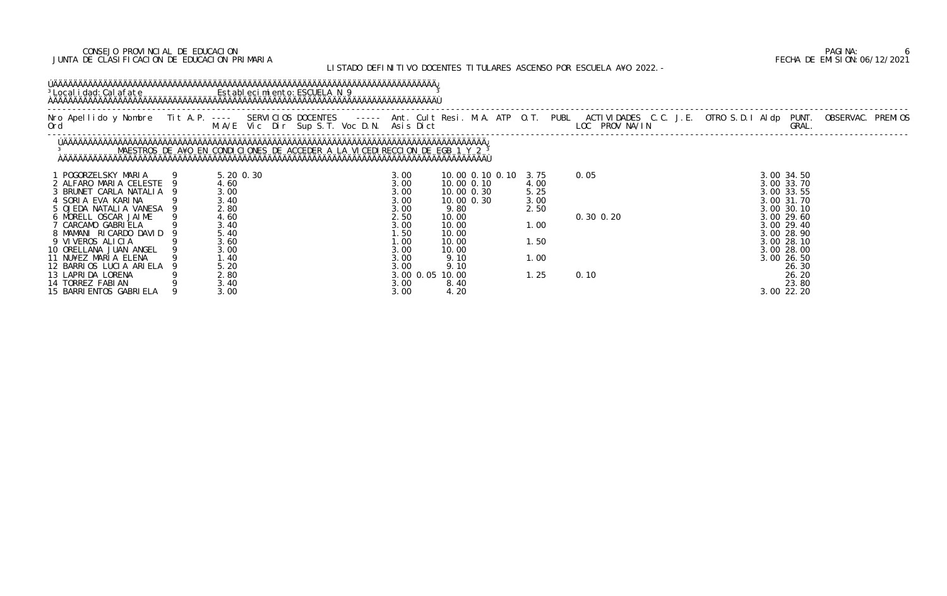# CONSEJO PROVINCIAL DE EDUCACION PAGINA: 6 JUNTA DE CLASIFICACION DE EDUCACION PRIMARIA FECHA DE EMISION:06/12/2021

# LISTADO DEFINITIVO DOCENTES TITULARES ASCENSO POR ESCUELA A¥O 2022.-

# ÚÄÄÄÄÄÄÄÄÄÄÄÄÄÄÄÄÄÄÄÄÄÄÄÄÄÄÄÄÄÄÄÄÄÄÄÄÄÄÄÄÄÄÄÄÄÄÄÄÄÄÄÄÄÄÄÄÄÄÄÄÄÄÄÄÄÄÄÄÄÄÄÄÄÄÄÄÄ¿ <sup>3</sup>Localidad: Calafate Establecimiento: ESCUELA N 9 3 ÀÄÄÄÄÄÄÄÄÄÄÄÄÄÄÄÄÄÄÄÄÄÄÄÄÄÄÄÄÄÄÄÄÄÄÄÄÄÄÄÄÄÄÄÄÄÄÄÄÄÄÄÄÄÄÄÄÄÄÄÄÄÄÄÄÄÄÄÄÄÄÄÄÄÄÄÄÄÙ

| MAESTROS DE A¥O EN CONDICIONES DE ACCEDER A LA VICEDIRECCION DE EGB 1 Y 2 3<br>5.20 0.30<br>0.05<br>POGORZELSKY MARIA<br>3.00<br>10.00 0.10 0.10<br>3.00 34.50<br>3.75<br>3.00<br>10.00 0.10<br>3.00 33.70<br>4.60<br>4.00<br>2 ALFARO MARIA CELESTE 9<br>5.25<br>3.00<br>3.00<br>3.00 33.55<br>3 BRUNET CARLA NATALIA 9<br>10.00 0.30<br>3.40<br>3.00<br>3.00<br>3.00 31.70<br>4 SORIA EVA KARINA<br>10.00 0.30<br>2.50<br>2.80<br>3.00<br>9.80<br>3.00 30.10<br>5 OJEDA NATALIA VANESA<br>4.60<br>6 MORELL OSCAR JAIME<br>3.00 29.60<br>2.50<br>10.00<br>$0.30 \, 0.20$<br>3.40<br>7 CARCAMO GABRIELA<br>3.00<br>3.00 29.40<br>10.00<br>1.00<br>5.40<br>1.50<br>3.00 28.90<br>10.00<br>8 MAMANI RICARDO DAVID<br>3.60<br>9 VIVEROS ALICIA<br>1.00<br>1.50<br>3.00 28.10<br>10.00<br>3.00<br>3.00<br>3.00 28.00<br>10 ORELLANA JUAN ANGEL<br>10.00<br>1.40<br>11 NU¥EZ MARIA ELENA<br>3.00<br>3.00 26.50<br>9.10<br>1.00<br>26.30<br>5.20<br>3.00<br>12 BARRIOS LUCIA ARIELA<br>9.10 |                   |      |  |           |       |  |      | Nro Apellido y Nombre Tit A.P. ---- SERVICIOS DOCENTES   ----- Ant. Cult Resi. M.A. ATP  0.T. PUBL   ACTIVIDADES  C.C. J.E.<br>Ord                         M.A/E  Vic  Dir  Sup S.T. Voc D.N.  Asis Dict | OTRO S.D.I Aldp | PUNT.<br>GRAL. | OBSERVAC. PREMI OS |
|---------------------------------------------------------------------------------------------------------------------------------------------------------------------------------------------------------------------------------------------------------------------------------------------------------------------------------------------------------------------------------------------------------------------------------------------------------------------------------------------------------------------------------------------------------------------------------------------------------------------------------------------------------------------------------------------------------------------------------------------------------------------------------------------------------------------------------------------------------------------------------------------------------------------------------------------------------------------------------------|-------------------|------|--|-----------|-------|--|------|----------------------------------------------------------------------------------------------------------------------------------------------------------------------------------------------------------|-----------------|----------------|--------------------|
|                                                                                                                                                                                                                                                                                                                                                                                                                                                                                                                                                                                                                                                                                                                                                                                                                                                                                                                                                                                       |                   |      |  |           |       |  |      |                                                                                                                                                                                                          |                 |                |                    |
| 23.80<br>3.40<br>14 TORREZ FABIAN<br>3.00<br>8.40                                                                                                                                                                                                                                                                                                                                                                                                                                                                                                                                                                                                                                                                                                                                                                                                                                                                                                                                     | 13 LAPRIDA LORENA | 2.80 |  | 3.00 0.05 | 10.00 |  | 1.25 | 0.10                                                                                                                                                                                                     |                 | 26.20          |                    |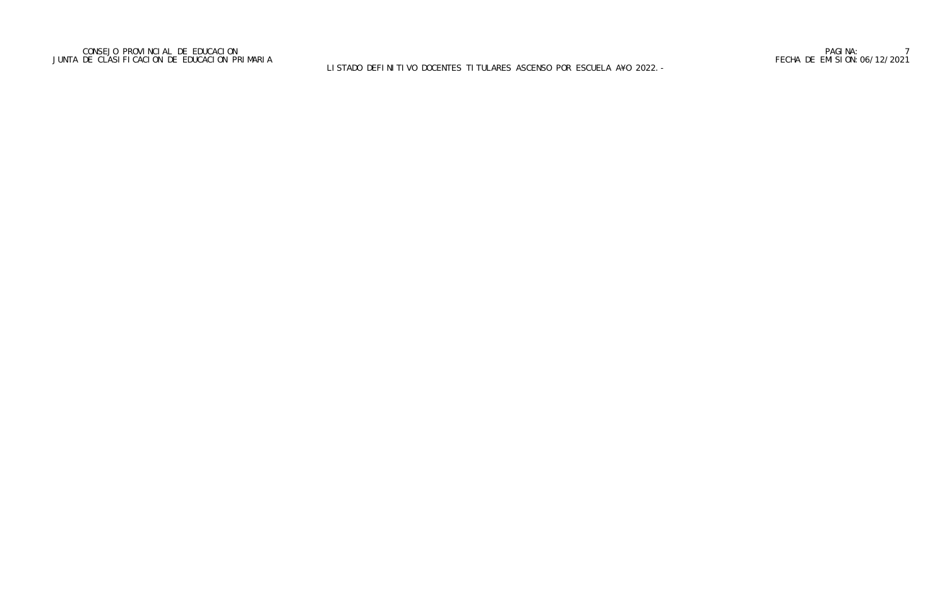CONSEJO PROVINCIAL DE EDUCACION PAGINA: 7 JUNTA DE CLASIFICACION DE EDUCACION PRIMARIA FECHA DE EMISION:06/12/2021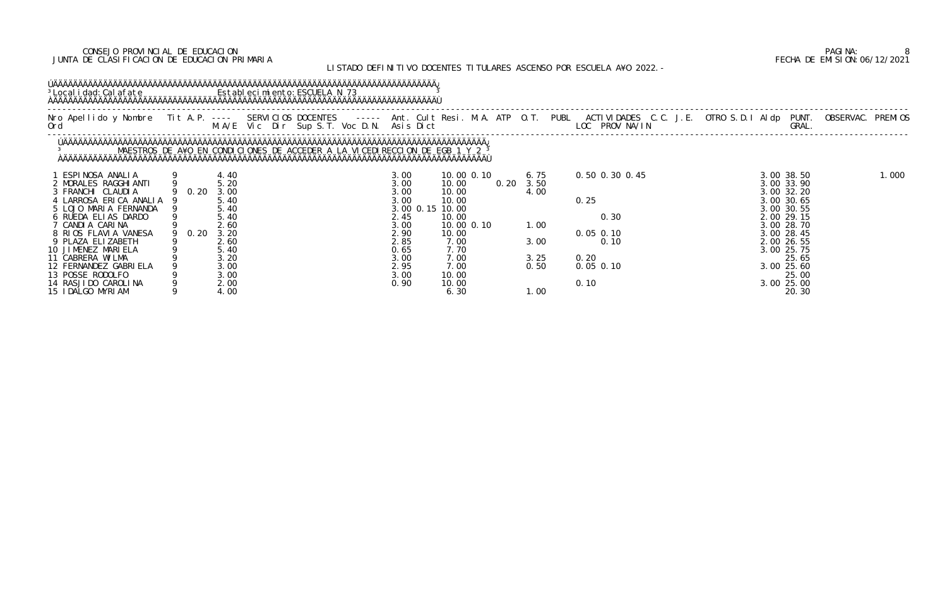# CONSEJO PROVINCIAL DE EDUCACION PAGINA: 8 JUNTA DE CLASIFICACION DE EDUCACION PRIMARIA FECHA DE EMISION:06/12/2021

| Nro Apellido y Nombre Tit A.P. ---- SERVICIOS DOCENTES ----- Ant. Cult Resi. M.A. ATP O.T. PUBL ACTIVIDADES C.C. J.E. OTRO S.D.I Aldp PUNT.<br>Ord           M.A/E Vic Dir Sup S.T. Voc D.N. Asis Dict |   |      |                      |  |  |  |                      |               |                              |       |                      |                |                          |                                            | OBSERVAC. PREMIOS |
|--------------------------------------------------------------------------------------------------------------------------------------------------------------------------------------------------------|---|------|----------------------|--|--|--|----------------------|---------------|------------------------------|-------|----------------------|----------------|--------------------------|--------------------------------------------|-------------------|
| MAESTROS DE A¥O EN CONDICIONES DE ACCEDER A LA VICEDIRECCION DE EGB 1 Y 2 3                                                                                                                            |   |      |                      |  |  |  |                      |               |                              |       |                      |                |                          |                                            |                   |
| ESPINOSA ANALIA<br>2 MORALES RAGGHIANTI<br>3 FRANCHI CLAUDIA                                                                                                                                           | 9 | 0.20 | 4.40<br>5.20<br>3.00 |  |  |  | 3.00<br>3.00<br>3.00 |               | 10.00 0.10<br>10.00<br>10.00 | 0. 20 | 6.75<br>3.50<br>4.00 | 0.50 0.30 0.45 |                          | $3.00$ $38.50$<br>3.00 33.90<br>3.00 32.20 | 1.000             |
| 4 LARROSA ERICA ANALIA<br>5 LOJO MARIA FERNANDA<br>6 RUEDA ELIAS DARDO                                                                                                                                 |   |      | 5.40<br>5.40<br>5.40 |  |  |  | 3.00<br>2.45         | $3.00$ $0.15$ | 10.00<br>10.00<br>10.00      |       |                      | 0.25<br>0.30   | 3.00 30.55<br>2.00 29.15 | 3.00 30.65                                 |                   |
| 7 CANDIA CARINA<br>8 RIOS FLAVIA VANESA                                                                                                                                                                | 9 | 0.20 | 2.60<br>3.20         |  |  |  | 3.00<br>2.90         |               | 10.00 0.10<br>10.00          |       | 1.00                 | $0.05$ $0.10$  | 3.00 28.45               | 3.00 28.70                                 |                   |
| 9 PLAZA ELIZABETH<br>10 JIMENEZ MARIELA<br>11 CABRERA WILMA                                                                                                                                            |   |      | 2.60<br>5.40<br>3.20 |  |  |  | 2.85<br>0.65<br>3.00 |               | 7.00<br>7.70<br>7.00         |       | 3.00<br>3.25         | 0.10<br>0.20   | 2.00 26.55<br>3.00 25.75 | 25.65                                      |                   |
| 12 FERNANDEZ GABRI ELA<br>13 POSSE RODOLFO                                                                                                                                                             |   |      | 3.00<br>3.00         |  |  |  | 2.95<br>3.00         |               | 7.00<br>10.00                |       | 0.50                 | $0.05$ 0.10    | 3.00 25.60               | 25.00                                      |                   |
| 14 RASJIDO CAROLINA<br>15 I DALGO MYRI AM                                                                                                                                                              |   |      | 2.00<br>4.00         |  |  |  | 0.90                 |               | 10.00<br>6.30                |       | 1.00                 | 0.10           | 3.00 25.00               | 20.30                                      |                   |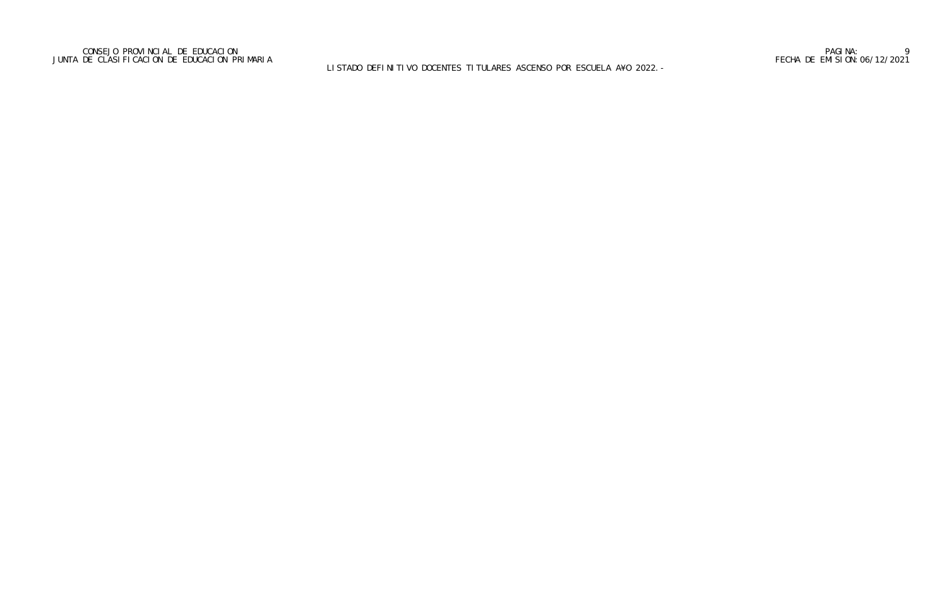CONSEJO PROVINCIAL DE EDUCACION PAGINA: 9 JUNTA DE CLASIFICACION DE EDUCACION PRIMARIA FECHA DE EMISION:06/12/2021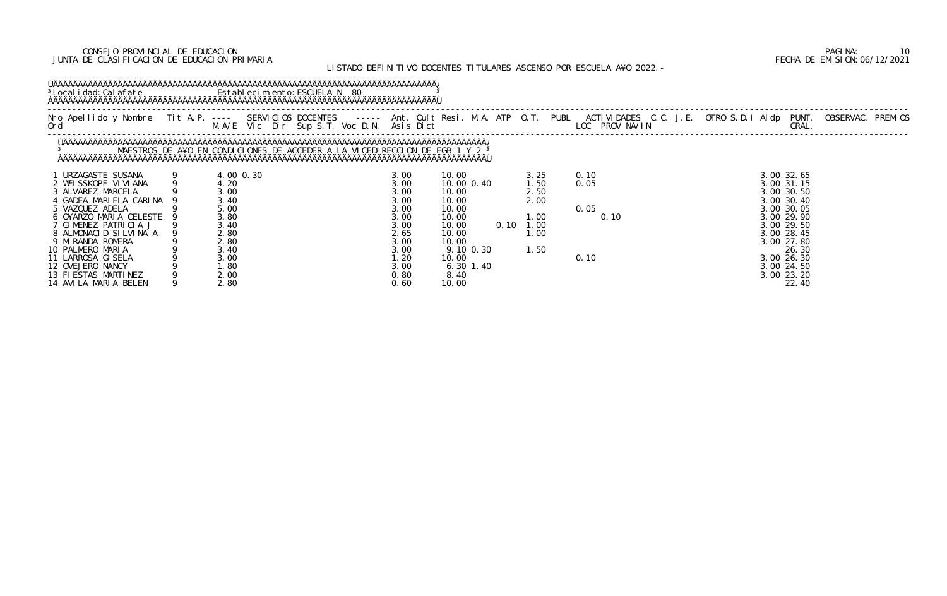# CONSEJO PROVINCIAL DE EDUCACION PAGINA: 10 JUNTA DE CLASIFICACION DE EDUCACION PRIMARIA FECHA DE EMISION:06/12/2021

# LISTADO DEFINITIVO DOCENTES TITULARES ASCENSO POR ESCUELA A¥O 2022.-

# ÚÄÄÄÄÄÄÄÄÄÄÄÄÄÄÄÄÄÄÄÄÄÄÄÄÄÄÄÄÄÄÄÄÄÄÄÄÄÄÄÄÄÄÄÄÄÄÄÄÄÄÄÄÄÄÄÄÄÄÄÄÄÄÄÄÄÄÄÄÄÄÄÄÄÄÄÄÄ¿ <sup>3</sup>Localidad: Calafate Establecimiento: ESCUELA N 80 <sup>3</sup> ÀÄÄÄÄÄÄÄÄÄÄÄÄÄÄÄÄÄÄÄÄÄÄÄÄÄÄÄÄÄÄÄÄÄÄÄÄÄÄÄÄÄÄÄÄÄÄÄÄÄÄÄÄÄÄÄÄÄÄÄÄÄÄÄÄÄÄÄÄÄÄÄÄÄÄÄÄÄÙ

| Nro Apellido y Nombre Tit A.P. ---- SERVICIOS DOCENTES ----- Ant. Cult Resi. M.A. ATP O.T. PUBL ACTIVIDADES C.C. J.E. OTRO S.D.I Aldp PUNT.<br>Ord | M.A/E Vic Dir Sup S.T. Voc D.N. Asis Dict                                   |  |      |            |       |      | LOC PROV NA/IN |            | OBSERVAC. PREMI OS<br>GRAL. |
|----------------------------------------------------------------------------------------------------------------------------------------------------|-----------------------------------------------------------------------------|--|------|------------|-------|------|----------------|------------|-----------------------------|
|                                                                                                                                                    | MAESTROS DE A¥O EN CONDICIONES DE ACCEDER A LA VICEDIRECCION DE EGB 1 Y 2 3 |  |      |            |       |      |                |            |                             |
| URZAGASTE SUSANA                                                                                                                                   | 4.00 0.30                                                                   |  | 3.00 | 10.00      |       | 3.25 | 0.10           | 3.00 32.65 |                             |
| 2 WEISSKOPF VIVIANA                                                                                                                                | 4.20                                                                        |  | 3.00 | 10.00 0.40 |       | 1.50 | 0.05           | 3.00 31.15 |                             |
| 3 ALVAREZ MARCELA                                                                                                                                  | 3.00                                                                        |  | 3.00 | 10.00      |       | 2.50 |                | 3.00 30.50 |                             |
| 4 GADEA MARIELA CARINA                                                                                                                             | 3.40                                                                        |  | 3.00 | 10.00      |       | 2.00 |                | 3.00 30.40 |                             |
| 5 VAZQUEZ ADELA                                                                                                                                    | 5.00                                                                        |  | 3.00 | 10.00      |       |      | 0.05           | 3.00 30.05 |                             |
| 6 OYARZO MARIA CELESTE                                                                                                                             | 3.80                                                                        |  | 3.00 | 10.00      |       | 1.00 | 0.10           | 3.00 29.90 |                             |
| 7 GIMENEZ PATRICIA J                                                                                                                               | 3.40                                                                        |  | 3.00 | 10.00      | 0. 10 | 1.00 |                | 3.00 29.50 |                             |
| 8 ALMONACID SILVINA A                                                                                                                              | 2.80                                                                        |  | 2.65 | 10.00      |       | 1.00 |                | 3.00 28.45 |                             |
| 9 MI RANDA ROMERA                                                                                                                                  | 2.80                                                                        |  | 3.00 | 10.00      |       |      |                | 3.00 27.80 |                             |
| 10 PALMERO MARIA                                                                                                                                   | 3.40                                                                        |  | 3.00 | 9.10 0.30  |       | 1.50 |                | 26.30      |                             |
| 11 LARROSA GI SELA                                                                                                                                 | 3.00                                                                        |  | 1.20 | 10.00      |       |      | 0.10           | 3.00 26.30 |                             |
| 12 OVEJERO NANCY                                                                                                                                   | 1.80                                                                        |  | 3.00 | 6.301.40   |       |      |                | 3.00 24.50 |                             |
| 13 FIESTAS MARTINEZ                                                                                                                                | 2.00                                                                        |  | 0.80 | 8.40       |       |      |                | 3.00 23.20 |                             |
| 14 AVILA MARIA BELEN                                                                                                                               | 2.80                                                                        |  | 0.60 | 10.00      |       |      |                | 22.40      |                             |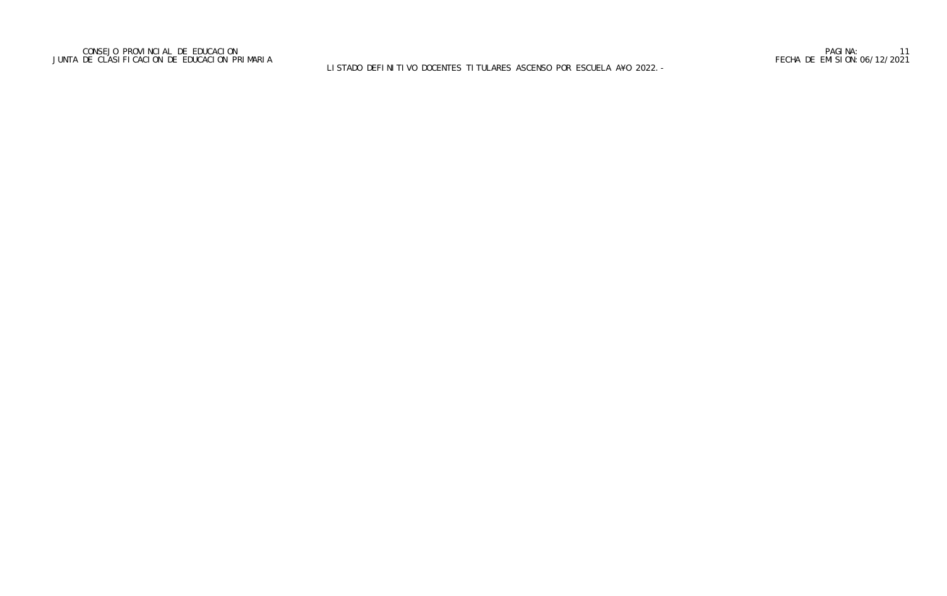CONSEJO PROVINCIAL DE EDUCACION PAGINA: 11 JUNTA DE CLASIFICACION DE EDUCACION PRIMARIA FECHA DE EMISION:06/12/2021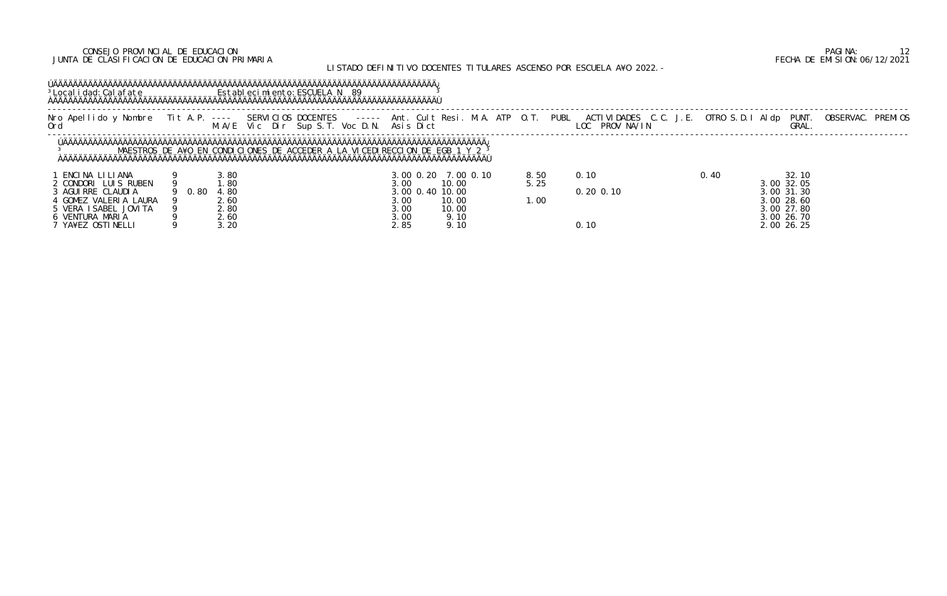## CONSEJO PROVINCIAL DE EDUCACION PAGINA: 12 JUNTA DE CLASIFICACION DE EDUCACION PRIMARIA FECHA DE EMISION:06/12/2021

# LISTADO DEFINITIVO DOCENTES TITULARES ASCENSO POR ESCUELA A¥O 2022.-

# ÚÄÄÄÄÄÄÄÄÄÄÄÄÄÄÄÄÄÄÄÄÄÄÄÄÄÄÄÄÄÄÄÄÄÄÄÄÄÄÄÄÄÄÄÄÄÄÄÄÄÄÄÄÄÄÄÄÄÄÄÄÄÄÄÄÄÄÄÄÄÄÄÄÄÄÄÄÄ¿ <sup>3</sup>Localidad: Calafate Establecimiento: ESCUELA N 89 3 ÀÄÄÄÄÄÄÄÄÄÄÄÄÄÄÄÄÄÄÄÄÄÄÄÄÄÄÄÄÄÄÄÄÄÄÄÄÄÄÄÄÄÄÄÄÄÄÄÄÄÄÄÄÄÄÄÄÄÄÄÄÄÄÄÄÄÄÄÄÄÄÄÄÄÄÄÄÄÙ

 ----------------------------------------------------------------------------------------------------------------------------------------------------------------------------- Nro Apellido y Nombre Tit A.P. ---- SERVICIOS DOCENTES ----- Ant. Cult Resi. M.A. ATP O.T. PUBL ACTIVIDADES C.C. J.E. OTRO S.D.I Aldp PUNT. OBSERVAC. PREMIOS Ord M.A/E Vic Dir Sup S.T. Voc D.N. Asis Dict LOC PROV NA/IN GRAL. -----------------------------------------------------------------------------------------------------------------------------------------------------------------------------

 ÚÄÄÄÄÄÄÄÄÄÄÄÄÄÄÄÄÄÄÄÄÄÄÄÄÄÄÄÄÄÄÄÄÄÄÄÄÄÄÄÄÄÄÄÄÄÄÄÄÄÄÄÄÄÄÄÄÄÄÄÄÄÄÄÄÄÄÄÄÄÄÄÄÄÄÄÄÄÄÄÄÄÄÄÄÄ¿ 3 MAESTROS DE A¥O EN CONDICIONES DE ACCEDER A LA VICEDIRECCION DE EGB 1 Y 2 <sup>3</sup> ÀÄÄÄÄÄÄÄÄÄÄÄÄÄÄÄÄÄÄÄÄÄÄÄÄÄÄÄÄÄÄÄÄÄÄÄÄÄÄÄÄÄÄÄÄÄÄÄÄÄÄÄÄÄÄÄÄÄÄÄÄÄÄÄÄÄÄÄÄÄÄÄÄÄÄÄÄÄÄÄÄÄÄÄÄÄÙ

| ENCINA LILIANA          | ,. 80        | .0000.10<br>$3.00 \, 0.20$ | 8.50 | 0.10          | 0.40 | 32.10      |
|-------------------------|--------------|----------------------------|------|---------------|------|------------|
| 2 CONDORI<br>LUIS RUBEN | . 80         | 3.00<br>10.00              | 5.25 |               |      | 3.00 32.05 |
| AGUI RRE CLAUDI A       | 4.80<br>0.80 | 3.00 0.40 10.00            |      | $0.20$ $0.10$ |      | 3.00 31.30 |
| GOMEZ VALERIA LAURA     | 2.60         | 3.00<br>10.00              | .00  |               |      | 3.00 28.60 |
| 5 VERA ISABEL JOVITA    | 2.80         | 3.00<br>10.00              |      |               |      | 3.00 27.80 |
| , VENTURA MARIA         | 2.60         | 3.00<br>9.10               |      |               |      | 3.00 26.70 |
| YA¥EZ OSTINELLI         | 3.20         | 2.85<br>9.10               |      | 0.10          |      | 2.00 26.25 |